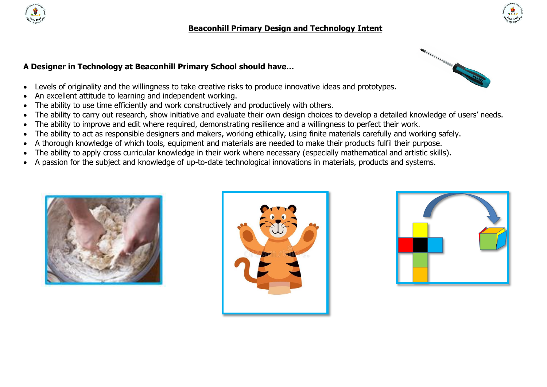

## **Beaconhill Primary Design and Technology Intent**

## **A Designer in Technology at Beaconhill Primary School should have…**

- Levels of originality and the willingness to take creative risks to produce innovative ideas and prototypes.
- An excellent attitude to learning and independent working.
- The ability to use time efficiently and work constructively and productively with others.
- The ability to carry out research, show initiative and evaluate their own design choices to develop a detailed knowledge of users' needs.
- The ability to improve and edit where required, demonstrating resilience and a willingness to perfect their work.
- The ability to act as responsible designers and makers, working ethically, using finite materials carefully and working safely.
- A thorough knowledge of which tools, equipment and materials are needed to make their products fulfil their purpose.
- The ability to apply cross curricular knowledge in their work where necessary (especially mathematical and artistic skills).
- A passion for the subject and knowledge of up-to-date technological innovations in materials, products and systems.









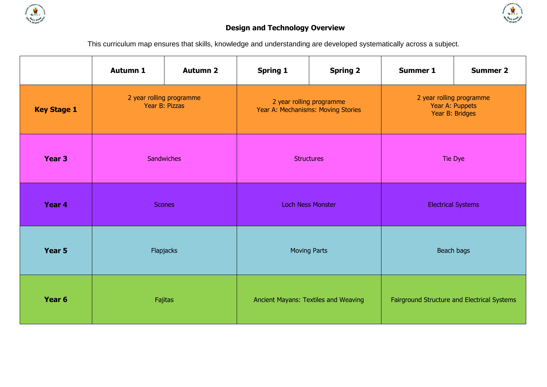



## **Design and Technology Overview**

This curriculum map ensures that skills, knowledge and understanding are developed systematically across a subject.

|                    | <b>Autumn 1</b>                            | <b>Autumn 2</b> | <b>Spring 1</b>                                                | <b>Spring 2</b> | <b>Summer 1</b>                                                | <b>Summer 2</b> |
|--------------------|--------------------------------------------|-----------------|----------------------------------------------------------------|-----------------|----------------------------------------------------------------|-----------------|
| <b>Key Stage 1</b> | 2 year rolling programme<br>Year B: Pizzas |                 | 2 year rolling programme<br>Year A: Mechanisms: Moving Stories |                 | 2 year rolling programme<br>Year A: Puppets<br>Year B: Bridges |                 |
| Year 3             | Sandwiches                                 |                 | <b>Structures</b>                                              |                 | Tie Dye                                                        |                 |
| Year 4             | <b>Scones</b>                              |                 | <b>Loch Ness Monster</b>                                       |                 | <b>Electrical Systems</b>                                      |                 |
| Year 5             |                                            | Flapjacks       | <b>Moving Parts</b>                                            |                 | Beach bags                                                     |                 |
| Year <sub>6</sub>  |                                            | Fajitas         | Ancient Mayans: Textiles and Weaving                           |                 | Fairground Structure and Electrical Systems                    |                 |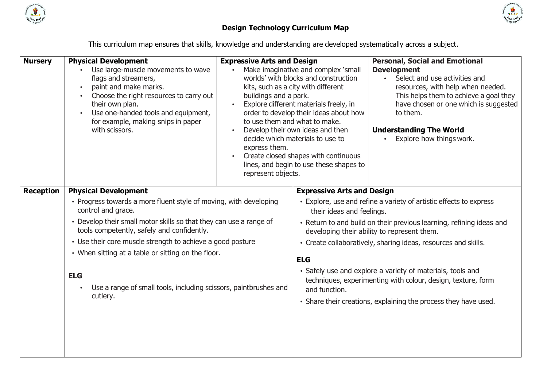



## **Design Technology Curriculum Map**

This curriculum map ensures that skills, knowledge and understanding are developed systematically across a subject.

| <b>Nursery</b>   | <b>Physical Development</b><br>Use large-muscle movements to wave<br>flags and streamers,<br>paint and make marks.<br>Choose the right resources to carry out<br>their own plan.<br>Use one-handed tools and equipment,<br>for example, making snips in paper<br>with scissors.                                                                                                                                                                              | <b>Expressive Arts and Design</b><br>buildings and a park.<br>express them.<br>represent objects. | Make imaginative and complex 'small<br>worlds' with blocks and construction<br>kits, such as a city with different<br>Explore different materials freely, in<br>order to develop their ideas about how<br>to use them and what to make.<br>Develop their own ideas and then<br>decide which materials to use to<br>Create closed shapes with continuous<br>lines, and begin to use these shapes to | <b>Personal, Social and Emotional</b><br><b>Development</b><br>• Select and use activities and<br>resources, with help when needed.<br>This helps them to achieve a goal they<br>have chosen or one which is suggested<br>to them.<br><b>Understanding The World</b><br>Explore how things work.                                                                                                                                                             |
|------------------|--------------------------------------------------------------------------------------------------------------------------------------------------------------------------------------------------------------------------------------------------------------------------------------------------------------------------------------------------------------------------------------------------------------------------------------------------------------|---------------------------------------------------------------------------------------------------|----------------------------------------------------------------------------------------------------------------------------------------------------------------------------------------------------------------------------------------------------------------------------------------------------------------------------------------------------------------------------------------------------|--------------------------------------------------------------------------------------------------------------------------------------------------------------------------------------------------------------------------------------------------------------------------------------------------------------------------------------------------------------------------------------------------------------------------------------------------------------|
| <b>Reception</b> | <b>Physical Development</b><br>• Progress towards a more fluent style of moving, with developing<br>control and grace.<br>• Develop their small motor skills so that they can use a range of<br>tools competently, safely and confidently.<br>• Use their core muscle strength to achieve a good posture<br>• When sitting at a table or sitting on the floor.<br><b>ELG</b><br>Use a range of small tools, including scissors, paintbrushes and<br>cutlery. |                                                                                                   | <b>Expressive Arts and Design</b><br>their ideas and feelings.<br><b>ELG</b><br>and function.                                                                                                                                                                                                                                                                                                      | • Explore, use and refine a variety of artistic effects to express<br>• Return to and build on their previous learning, refining ideas and<br>developing their ability to represent them.<br>• Create collaboratively, sharing ideas, resources and skills.<br>· Safely use and explore a variety of materials, tools and<br>techniques, experimenting with colour, design, texture, form<br>· Share their creations, explaining the process they have used. |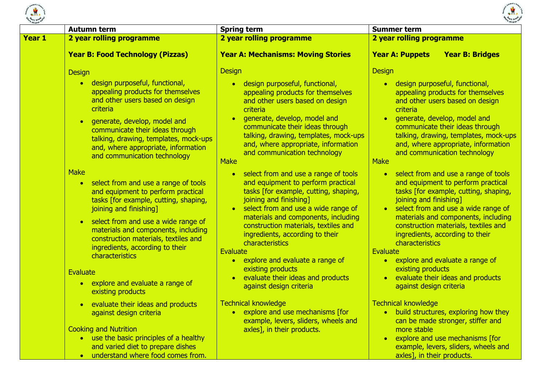



|        | <b>Autumn term</b>                                                                                                                                                                                                                                                                                                                                       | <b>Spring term</b>                                                                                                                                                                                                                                                                                                                                                                                                                                                        | <b>Summer term</b>                                                                                                                                                                                                                                                                                                                                                                                                                                                                                                                                                                                                            |  |  |
|--------|----------------------------------------------------------------------------------------------------------------------------------------------------------------------------------------------------------------------------------------------------------------------------------------------------------------------------------------------------------|---------------------------------------------------------------------------------------------------------------------------------------------------------------------------------------------------------------------------------------------------------------------------------------------------------------------------------------------------------------------------------------------------------------------------------------------------------------------------|-------------------------------------------------------------------------------------------------------------------------------------------------------------------------------------------------------------------------------------------------------------------------------------------------------------------------------------------------------------------------------------------------------------------------------------------------------------------------------------------------------------------------------------------------------------------------------------------------------------------------------|--|--|
| Year 1 | 2 year rolling programme                                                                                                                                                                                                                                                                                                                                 | 2 year rolling programme                                                                                                                                                                                                                                                                                                                                                                                                                                                  | 2 year rolling programme                                                                                                                                                                                                                                                                                                                                                                                                                                                                                                                                                                                                      |  |  |
|        | <b>Year B: Food Technology (Pizzas)</b>                                                                                                                                                                                                                                                                                                                  | <b>Year A: Mechanisms: Moving Stories</b>                                                                                                                                                                                                                                                                                                                                                                                                                                 | <b>Year A: Puppets</b><br><b>Year B: Bridges</b>                                                                                                                                                                                                                                                                                                                                                                                                                                                                                                                                                                              |  |  |
|        | <b>Design</b><br>• design purposeful, functional,                                                                                                                                                                                                                                                                                                        | <b>Design</b><br>design purposeful, functional,<br>$\bullet$                                                                                                                                                                                                                                                                                                                                                                                                              | <b>Design</b><br>• design purposeful, functional,                                                                                                                                                                                                                                                                                                                                                                                                                                                                                                                                                                             |  |  |
|        | appealing products for themselves<br>and other users based on design<br>criteria                                                                                                                                                                                                                                                                         | appealing products for themselves<br>and other users based on design<br>criteria                                                                                                                                                                                                                                                                                                                                                                                          | appealing products for themselves<br>and other users based on design<br>criteria                                                                                                                                                                                                                                                                                                                                                                                                                                                                                                                                              |  |  |
|        | generate, develop, model and<br>$\bullet$<br>communicate their ideas through<br>talking, drawing, templates, mock-ups<br>and, where appropriate, information<br>and communication technology                                                                                                                                                             | generate, develop, model and<br>$\bullet$<br>communicate their ideas through<br>talking, drawing, templates, mock-ups<br>and, where appropriate, information<br>and communication technology<br><b>Make</b>                                                                                                                                                                                                                                                               | generate, develop, model and<br>$\bullet$<br>communicate their ideas through<br>talking, drawing, templates, mock-ups<br>and, where appropriate, information<br>and communication technology<br><b>Make</b><br>select from and use a range of tools<br>$\bullet$<br>and equipment to perform practical<br>tasks [for example, cutting, shaping,<br>joining and finishing]<br>• select from and use a wide range of<br>materials and components, including<br>construction materials, textiles and<br>ingredients, according to their<br>characteristics<br>Evaluate<br>• explore and evaluate a range of<br>existing products |  |  |
|        | <b>Make</b><br>• select from and use a range of tools<br>and equipment to perform practical<br>tasks [for example, cutting, shaping,<br>joining and finishing]<br>• select from and use a wide range of<br>materials and components, including<br>construction materials, textiles and<br>ingredients, according to their<br>characteristics<br>Evaluate | select from and use a range of tools<br>$\bullet$<br>and equipment to perform practical<br>tasks [for example, cutting, shaping,<br>joining and finishing]<br>select from and use a wide range of<br>$\bullet$<br>materials and components, including<br>construction materials, textiles and<br>ingredients, according to their<br>characteristics<br>Evaluate<br>explore and evaluate a range of<br>$\bullet$<br>existing products<br>evaluate their ideas and products |                                                                                                                                                                                                                                                                                                                                                                                                                                                                                                                                                                                                                               |  |  |
|        | • explore and evaluate a range of<br>existing products                                                                                                                                                                                                                                                                                                   | against design criteria                                                                                                                                                                                                                                                                                                                                                                                                                                                   | evaluate their ideas and products<br>$\bullet$<br>against design criteria                                                                                                                                                                                                                                                                                                                                                                                                                                                                                                                                                     |  |  |
|        | • evaluate their ideas and products<br>against design criteria<br><b>Cooking and Nutrition</b><br>• use the basic principles of a healthy<br>and varied diet to prepare dishes<br>understand where food comes from.                                                                                                                                      | <b>Technical knowledge</b><br>• explore and use mechanisms [for<br>example, levers, sliders, wheels and<br>axles], in their products.                                                                                                                                                                                                                                                                                                                                     | <b>Technical knowledge</b><br>• build structures, exploring how they<br>can be made stronger, stiffer and<br>more stable<br>explore and use mechanisms [for<br>$\bullet$<br>example, levers, sliders, wheels and<br>axles], in their products.                                                                                                                                                                                                                                                                                                                                                                                |  |  |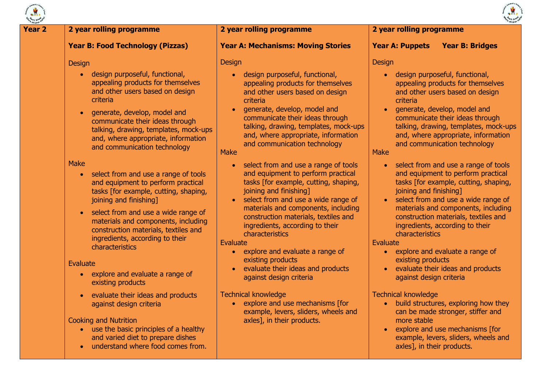

axles], in their products.

#### **Year 2 2 year rolling programme Year B: Food Technology (Pizzas) Design** • design purposeful, functional, appealing products for themselves and other users based on design criteria **•** generate, develop, model and communicate their ideas through talking, drawing, templates, mock-ups and, where appropriate, information and communication technology Make • select from and use a range of tools and equipment to perform practical tasks [for example, cutting, shaping, joining and finishing] • select from and use a wide range of materials and components, including construction materials, textiles and ingredients, according to their characteristics Evaluate • explore and evaluate a range of existing products evaluate their ideas and products against design criteria Cooking and Nutrition • use the basic principles of a healthy and varied diet to prepare dishes **2 year rolling programme Year A: Mechanisms: Moving Stories Design**  design purposeful, functional, appealing products for themselves and other users based on design criteria generate, develop, model and communicate their ideas through talking, drawing, templates, mock-ups and, where appropriate, information and communication technology **Make** • select from and use a range of tools and equipment to perform practical tasks [for example, cutting, shaping, joining and finishing] • select from and use a wide range of materials and components, including construction materials, textiles and ingredients, according to their characteristics Evaluate • explore and evaluate a range of existing products evaluate their ideas and products against design criteria Technical knowledge • explore and use mechanisms [for example, levers, sliders, wheels and axles], in their products. **2 year rolling programme Year A: Puppets Year B: Bridges** Design design purposeful, functional, appealing products for themselves and other users based on design criteria generate, develop, model and communicate their ideas through talking, drawing, templates, mock-ups and, where appropriate, information and communication technology Make • select from and use a range of tools and equipment to perform practical tasks [for example, cutting, shaping, joining and finishing] • select from and use a wide range of materials and components, including construction materials, textiles and ingredients, according to their characteristics Evaluate • explore and evaluate a range of existing products evaluate their ideas and products against design criteria Technical knowledge • build structures, exploring how they can be made stronger, stiffer and more stable • explore and use mechanisms [for example, levers, sliders, wheels and

understand where food comes from.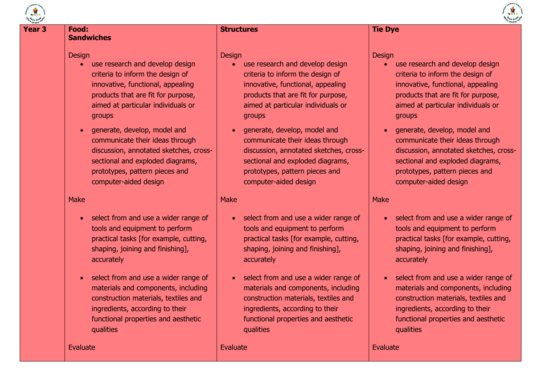

#### **Year 3 Food: Sandwiches**

#### **Design**

- use research and develop design criteria to inform the design of innovative, functional, appealing products that are fit for purpose, aimed at particular individuals or groups
- generate, develop, model and communicate their ideas through discussion, annotated sketches, crosssectional and exploded diagrams, prototypes, pattern pieces and computer-aided design

#### Make

- select from and use a wider range of tools and equipment to perform practical tasks [for example, cutting, shaping, joining and finishing], accurately
- select from and use a wider range of materials and components, including construction materials, textiles and ingredients, according to their functional properties and aesthetic qualities

Evaluate

#### **Structures**

#### **Design**

- use research and develop design criteria to inform the design of innovative, functional, appealing products that are fit for purpose, aimed at particular individuals or groups
- generate, develop, model and communicate their ideas through discussion, annotated sketches, crosssectional and exploded diagrams, prototypes, pattern pieces and computer-aided design

#### Make

- select from and use a wider range of tools and equipment to perform practical tasks [for example, cutting, shaping, joining and finishing], accurately
- select from and use a wider range of materials and components, including construction materials, textiles and ingredients, according to their functional properties and aesthetic qualities

Evaluate

## **Tie Dye**

#### **Design**

- use research and develop design criteria to inform the design of innovative, functional, appealing products that are fit for purpose, aimed at particular individuals or groups
- generate, develop, model and communicate their ideas through discussion, annotated sketches, crosssectional and exploded diagrams, prototypes, pattern pieces and computer-aided design

#### Make

- select from and use a wider range of tools and equipment to perform practical tasks [for example, cutting, shaping, joining and finishing], accurately
- select from and use a wider range of materials and components, including construction materials, textiles and ingredients, according to their functional properties and aesthetic qualities

#### Evaluate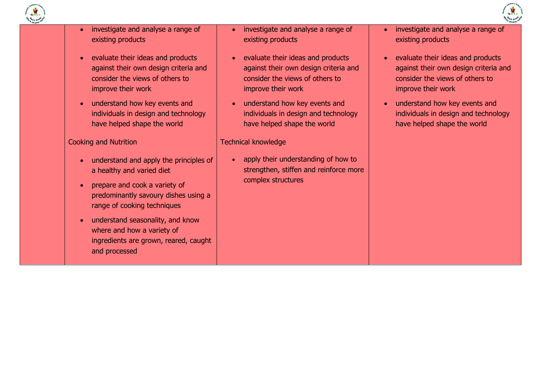

- investigate and analyse a range of existing products
- evaluate their ideas and products against their own design criteria and consider the views of others to improve their work
- understand how key events and individuals in design and technology have helped shape the world

#### Cooking and Nutrition

- understand and apply the principles of a healthy and varied diet
- prepare and cook a variety of predominantly savoury dishes using a range of cooking techniques
- understand seasonality, and know where and how a variety of ingredients are grown, reared, caught and processed
- investigate and analyse a range of existing products
- evaluate their ideas and products against their own design criteria and consider the views of others to improve their work
- understand how key events and individuals in design and technology have helped shape the world

#### Technical knowledge

• apply their understanding of how to strengthen, stiffen and reinforce more complex structures

- investigate and analyse a range of existing products
- evaluate their ideas and products against their own design criteria and consider the views of others to improve their work
- understand how key events and individuals in design and technology have helped shape the world

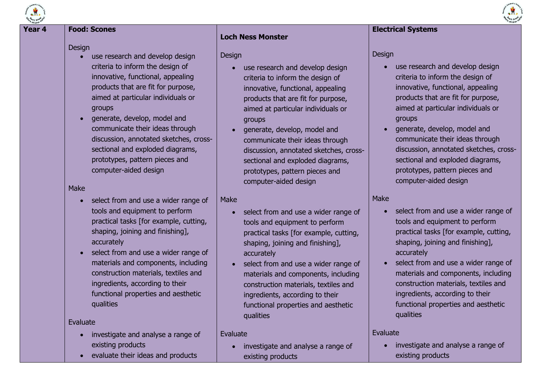

## **Year 4 Food: Scones**

#### **Design**

- use research and develop design criteria to inform the design of innovative, functional, appealing products that are fit for purpose, aimed at particular individuals or groups
- generate, develop, model and communicate their ideas through discussion, annotated sketches, crosssectional and exploded diagrams, prototypes, pattern pieces and computer-aided design

#### Make

- select from and use a wider range of tools and equipment to perform practical tasks [for example, cutting, shaping, joining and finishing], accurately
- select from and use a wider range of materials and components, including construction materials, textiles and ingredients, according to their functional properties and aesthetic qualities

#### Evaluate

- investigate and analyse a range of existing products
- evaluate their ideas and products

## **Loch Ness Monster**

#### Design

- use research and develop design criteria to inform the design of innovative, functional, appealing products that are fit for purpose, aimed at particular individuals or groups
- generate, develop, model and communicate their ideas through discussion, annotated sketches, crosssectional and exploded diagrams, prototypes, pattern pieces and computer-aided design

## Make

- select from and use a wider range of tools and equipment to perform practical tasks [for example, cutting, shaping, joining and finishing], accurately
- select from and use a wider range of materials and components, including construction materials, textiles and ingredients, according to their functional properties and aesthetic qualities

#### Evaluate

 investigate and analyse a range of existing products

#### **Electrical Systems**

Design

- use research and develop design criteria to inform the design of innovative, functional, appealing products that are fit for purpose, aimed at particular individuals or groups
- generate, develop, model and communicate their ideas through discussion, annotated sketches, crosssectional and exploded diagrams, prototypes, pattern pieces and computer-aided design

#### Make

- select from and use a wider range of tools and equipment to perform practical tasks [for example, cutting, shaping, joining and finishing], accurately
- select from and use a wider range of materials and components, including construction materials, textiles and ingredients, according to their functional properties and aesthetic qualities

#### Evaluate

 investigate and analyse a range of existing products

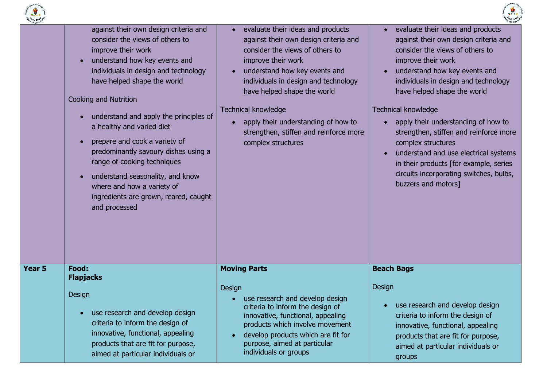



| children          | against their own design criteria and<br>consider the views of others to<br>improve their work<br>understand how key events and<br>$\bullet$<br>individuals in design and technology<br>have helped shape the world<br>Cooking and Nutrition<br>understand and apply the principles of<br>$\bullet$<br>a healthy and varied diet<br>prepare and cook a variety of<br>$\bullet$<br>predominantly savoury dishes using a<br>range of cooking techniques<br>understand seasonality, and know<br>$\bullet$<br>where and how a variety of<br>ingredients are grown, reared, caught<br>and processed | evaluate their ideas and products<br>against their own design criteria and<br>consider the views of others to<br>improve their work<br>understand how key events and<br>individuals in design and technology<br>have helped shape the world<br><b>Technical knowledge</b><br>apply their understanding of how to<br>strengthen, stiffen and reinforce more<br>complex structures | evaluate their ideas and products<br>against their own design criteria and<br>consider the views of others to<br>improve their work<br>understand how key events and<br>$\bullet$<br>individuals in design and technology<br>have helped shape the world<br><b>Technical knowledge</b><br>apply their understanding of how to<br>$\bullet$<br>strengthen, stiffen and reinforce more<br>complex structures<br>understand and use electrical systems<br>$\bullet$<br>in their products [for example, series<br>circuits incorporating switches, bulbs,<br>buzzers and motors] |
|-------------------|------------------------------------------------------------------------------------------------------------------------------------------------------------------------------------------------------------------------------------------------------------------------------------------------------------------------------------------------------------------------------------------------------------------------------------------------------------------------------------------------------------------------------------------------------------------------------------------------|----------------------------------------------------------------------------------------------------------------------------------------------------------------------------------------------------------------------------------------------------------------------------------------------------------------------------------------------------------------------------------|------------------------------------------------------------------------------------------------------------------------------------------------------------------------------------------------------------------------------------------------------------------------------------------------------------------------------------------------------------------------------------------------------------------------------------------------------------------------------------------------------------------------------------------------------------------------------|
| Year <sub>5</sub> | Food:                                                                                                                                                                                                                                                                                                                                                                                                                                                                                                                                                                                          | <b>Moving Parts</b>                                                                                                                                                                                                                                                                                                                                                              | <b>Beach Bags</b>                                                                                                                                                                                                                                                                                                                                                                                                                                                                                                                                                            |
|                   | <b>Flapjacks</b><br>Design<br>• use research and develop design<br>criteria to inform the design of<br>innovative, functional, appealing<br>products that are fit for purpose,<br>aimed at particular individuals or                                                                                                                                                                                                                                                                                                                                                                           | Design<br>use research and develop design<br>criteria to inform the design of<br>innovative, functional, appealing<br>products which involve movement<br>develop products which are fit for<br>$\bullet$<br>purpose, aimed at particular<br>individuals or groups                                                                                                                | Design<br>use research and develop design<br>$\bullet$<br>criteria to inform the design of<br>innovative, functional, appealing<br>products that are fit for purpose,<br>aimed at particular individuals or<br>groups                                                                                                                                                                                                                                                                                                                                                        |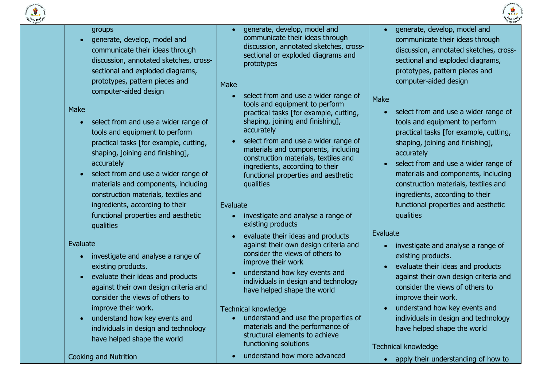

#### groups

• generate, develop, model and communicate their ideas through discussion, annotated sketches, crosssectional and exploded diagrams, prototypes, pattern pieces and computer-aided design

Make

- select from and use a wider range of tools and equipment to perform practical tasks [for example, cutting, shaping, joining and finishing], accurately
- select from and use a wider range of materials and components, including construction materials, textiles and ingredients, according to their functional properties and aesthetic qualities

Evaluate

- investigate and analyse a range of existing products.
- evaluate their ideas and products against their own design criteria and consider the views of others to improve their work.
- understand how key events and individuals in design and technology have helped shape the world

Cooking and Nutrition

 generate, develop, model and communicate their ideas through discussion, annotated sketches, crosssectional or exploded diagrams and prototypes

Make

- select from and use a wider range of tools and equipment to perform practical tasks [for example, cutting, shaping, joining and finishing], accurately
- select from and use a wider range of materials and components, including construction materials, textiles and ingredients, according to their functional properties and aesthetic qualities

## Evaluate

- investigate and analyse a range of existing products
- evaluate their ideas and products against their own design criteria and consider the views of others to improve their work
- understand how key events and individuals in design and technology have helped shape the world

## Technical knowledge

- understand and use the properties of materials and the performance of structural elements to achieve functioning solutions
- understand how more advanced

 generate, develop, model and communicate their ideas through discussion, annotated sketches, crosssectional and exploded diagrams, prototypes, pattern pieces and computer-aided design

Make

- select from and use a wider range of tools and equipment to perform practical tasks [for example, cutting, shaping, joining and finishing], accurately
- select from and use a wider range of materials and components, including construction materials, textiles and ingredients, according to their functional properties and aesthetic qualities

## Evaluate

- investigate and analyse a range of existing products.
- evaluate their ideas and products against their own design criteria and consider the views of others to improve their work.
- understand how key events and individuals in design and technology have helped shape the world

## Technical knowledge

• apply their understanding of how to

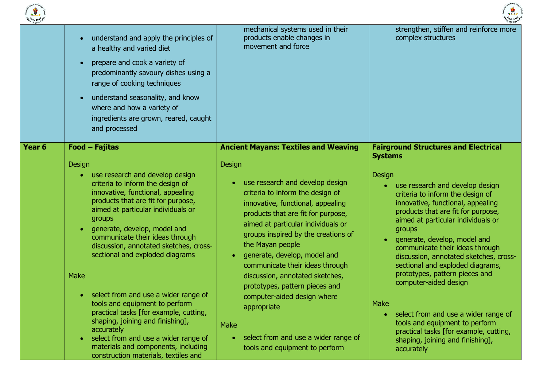



|        | understand and apply the principles of<br>$\bullet$<br>a healthy and varied diet<br>prepare and cook a variety of<br>$\bullet$<br>predominantly savoury dishes using a<br>range of cooking techniques<br>understand seasonality, and know<br>$\bullet$<br>where and how a variety of<br>ingredients are grown, reared, caught<br>and processed                                                                                                                                                                                                                                                                                                                                                                                | mechanical systems used in their<br>products enable changes in<br>movement and force                                                                                                                                                                                                                                                                                                                                                                                                                                                                                                                                           | strengthen, stiffen and reinforce more<br>complex structures                                                                                                                                                                                                                                                                                                                                                                                                                                                                                                                                                                                                                                         |
|--------|-------------------------------------------------------------------------------------------------------------------------------------------------------------------------------------------------------------------------------------------------------------------------------------------------------------------------------------------------------------------------------------------------------------------------------------------------------------------------------------------------------------------------------------------------------------------------------------------------------------------------------------------------------------------------------------------------------------------------------|--------------------------------------------------------------------------------------------------------------------------------------------------------------------------------------------------------------------------------------------------------------------------------------------------------------------------------------------------------------------------------------------------------------------------------------------------------------------------------------------------------------------------------------------------------------------------------------------------------------------------------|------------------------------------------------------------------------------------------------------------------------------------------------------------------------------------------------------------------------------------------------------------------------------------------------------------------------------------------------------------------------------------------------------------------------------------------------------------------------------------------------------------------------------------------------------------------------------------------------------------------------------------------------------------------------------------------------------|
| Year 6 | Food - Fajitas<br>Design<br>use research and develop design<br>criteria to inform the design of<br>innovative, functional, appealing<br>products that are fit for purpose,<br>aimed at particular individuals or<br>groups<br>generate, develop, model and<br>$\bullet$<br>communicate their ideas through<br>discussion, annotated sketches, cross-<br>sectional and exploded diagrams<br><b>Make</b><br>select from and use a wider range of<br>$\bullet$<br>tools and equipment to perform<br>practical tasks [for example, cutting,<br>shaping, joining and finishing],<br>accurately<br>select from and use a wider range of<br>$\bullet$<br>materials and components, including<br>construction materials, textiles and | <b>Ancient Mayans: Textiles and Weaving</b><br>Design<br>use research and develop design<br>$\bullet$<br>criteria to inform the design of<br>innovative, functional, appealing<br>products that are fit for purpose,<br>aimed at particular individuals or<br>groups inspired by the creations of<br>the Mayan people<br>generate, develop, model and<br>$\bullet$<br>communicate their ideas through<br>discussion, annotated sketches,<br>prototypes, pattern pieces and<br>computer-aided design where<br>appropriate<br><b>Make</b><br>select from and use a wider range of<br>$\bullet$<br>tools and equipment to perform | <b>Fairground Structures and Electrical</b><br><b>Systems</b><br>Design<br>use research and develop design<br>$\bullet$<br>criteria to inform the design of<br>innovative, functional, appealing<br>products that are fit for purpose,<br>aimed at particular individuals or<br>groups<br>generate, develop, model and<br>$\bullet$<br>communicate their ideas through<br>discussion, annotated sketches, cross-<br>sectional and exploded diagrams,<br>prototypes, pattern pieces and<br>computer-aided design<br><b>Make</b><br>select from and use a wider range of<br>tools and equipment to perform<br>practical tasks [for example, cutting,<br>shaping, joining and finishing],<br>accurately |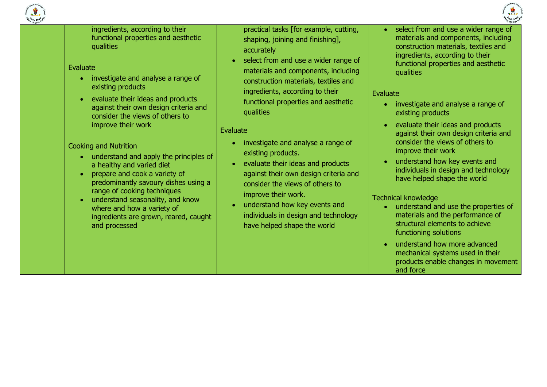

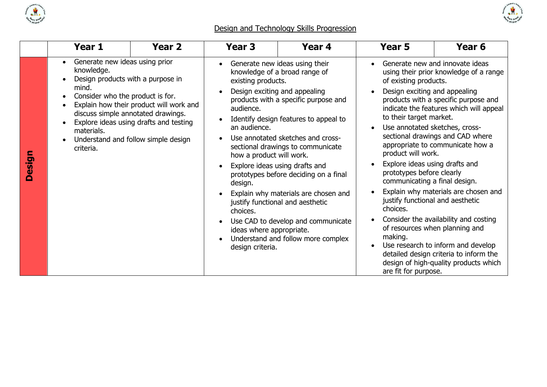



# Design and Technology Skills Progression

|               | Year 1                                                                                                                                                    | Year <sub>2</sub>                                                                                                                                              | <b>Year 3</b>                                                                                                                                      | Year 4                                                                                                                                                                                                                                                                                                                                                                                                                                                                                         | Year 5                                                                                                                                                                                                                                                                                                                       | Year <sub>6</sub>                                                                                                                                                                                                                                                                                                                                                                                                                                                                |
|---------------|-----------------------------------------------------------------------------------------------------------------------------------------------------------|----------------------------------------------------------------------------------------------------------------------------------------------------------------|----------------------------------------------------------------------------------------------------------------------------------------------------|------------------------------------------------------------------------------------------------------------------------------------------------------------------------------------------------------------------------------------------------------------------------------------------------------------------------------------------------------------------------------------------------------------------------------------------------------------------------------------------------|------------------------------------------------------------------------------------------------------------------------------------------------------------------------------------------------------------------------------------------------------------------------------------------------------------------------------|----------------------------------------------------------------------------------------------------------------------------------------------------------------------------------------------------------------------------------------------------------------------------------------------------------------------------------------------------------------------------------------------------------------------------------------------------------------------------------|
| <b>Design</b> | Generate new ideas using prior<br>knowledge.<br>Design products with a purpose in<br>mind.<br>Consider who the product is for.<br>materials.<br>criteria. | Explain how their product will work and<br>discuss simple annotated drawings.<br>Explore ideas using drafts and testing<br>Understand and follow simple design | existing products.<br>audience.<br>an audience.<br>how a product will work.<br>design.<br>choices.<br>ideas where appropriate.<br>design criteria. | Generate new ideas using their<br>knowledge of a broad range of<br>Design exciting and appealing<br>products with a specific purpose and<br>Identify design features to appeal to<br>Use annotated sketches and cross-<br>sectional drawings to communicate<br>Explore ideas using drafts and<br>prototypes before deciding on a final<br>Explain why materials are chosen and<br>justify functional and aesthetic<br>Use CAD to develop and communicate<br>Understand and follow more complex | of existing products.<br>Design exciting and appealing<br>to their target market.<br>Use annotated sketches, cross-<br>product will work.<br>Explore ideas using drafts and<br>prototypes before clearly<br>communicating a final design.<br>justify functional and aesthetic<br>choices.<br>making.<br>are fit for purpose. | Generate new and innovate ideas<br>using their prior knowledge of a range<br>products with a specific purpose and<br>indicate the features which will appeal<br>sectional drawings and CAD where<br>appropriate to communicate how a<br>Explain why materials are chosen and<br>Consider the availability and costing<br>of resources when planning and<br>Use research to inform and develop<br>detailed design criteria to inform the<br>design of high-quality products which |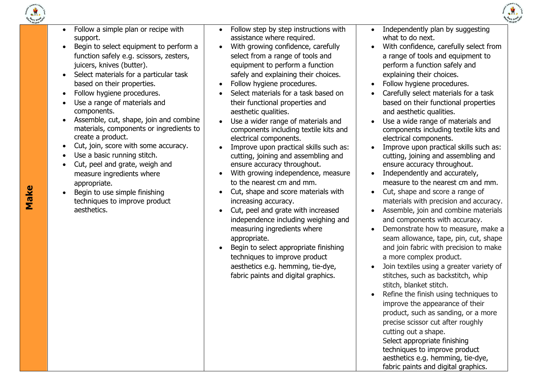



- $\bullet$  Follow a simple plan or recipe with support.
- Begin to select equipment to perform a function safely e.g. scissors, zesters, juicers, knives (butter).
- Select materials for a particular task based on their properties.
- Follow hygiene procedures.
- Use a range of materials and components.
- Assemble, cut, shape, join and combine materials, components or ingredients to create a product.
- Cut, join, score with some accuracy.
- Use a basic running stitch.
- Cut, peel and grate, weigh and measure ingredients where appropriate.
- Begin to use simple finishing techniques to improve product aesthetics.
- Follow step by step instructions with assistance where required.
- With growing confidence, carefully select from a range of tools and equipment to perform a function safely and explaining their choices.
- Follow hygiene procedures.
- Select materials for a task based on their functional properties and aesthetic qualities.
- Use a wider range of materials and components including textile kits and electrical components.
- Improve upon practical skills such as: cutting, joining and assembling and ensure accuracy throughout.
- With growing independence, measure to the nearest cm and mm.
- Cut, shape and score materials with increasing accuracy.
- Cut, peel and grate with increased independence including weighing and measuring ingredients where appropriate.
- Begin to select appropriate finishing techniques to improve product aesthetics e.g. hemming, tie -dye, fabric paints and digital graphics.
- Independently plan by suggesting what to do next.
- With confidence, carefully select from a range of tools and equipment to perform a function safely and explaining their choices.
- Follow hygiene procedures.
- Carefully select materials for a task based on their functional properties and aesthetic qualities.
- Use a wide range of materials and components including textile kits and electrical components.
- Improve upon practical skills such as: cutting, joining and assembling and ensure accuracy throughout.
- Independently and accurately, measure to the nearest cm and mm.
- Cut, shape and score a range of materials with precision and accuracy.
- Assemble, join and combine materials and components with accuracy.
- Demonstrate how to measure, make a seam allowance, tape, pin, cut, shape and join fabric with precision to make a more complex product.
- Join textiles using a greater variety of stitches, such as backstitch, whip stitch, blanket stitch.
- Refine the finish using techniques to improve the appearance of their product, such as sanding, or a more precise scissor cut after roughly cutting out a shape. Select appropriate finishing techniques to improve product aesthetics e.g. hemming, tie -dye, fabric paints and digital graphics.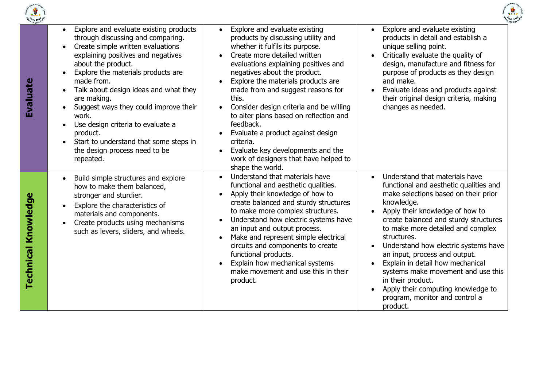



| e children <sup>6</sup> |                                                                                                                                                                                                                                                                                                                                                                                                                                                                                                  |                                                                                                                                                                                                                                                                                                                                                                                                                                                                                                                                                                                                              |                                                                                                                                                                                                                                                                                                                                                                                                                                                                                                                            |
|-------------------------|--------------------------------------------------------------------------------------------------------------------------------------------------------------------------------------------------------------------------------------------------------------------------------------------------------------------------------------------------------------------------------------------------------------------------------------------------------------------------------------------------|--------------------------------------------------------------------------------------------------------------------------------------------------------------------------------------------------------------------------------------------------------------------------------------------------------------------------------------------------------------------------------------------------------------------------------------------------------------------------------------------------------------------------------------------------------------------------------------------------------------|----------------------------------------------------------------------------------------------------------------------------------------------------------------------------------------------------------------------------------------------------------------------------------------------------------------------------------------------------------------------------------------------------------------------------------------------------------------------------------------------------------------------------|
| Evaluate                | Explore and evaluate existing products<br>through discussing and comparing.<br>Create simple written evaluations<br>$\bullet$<br>explaining positives and negatives<br>about the product.<br>Explore the materials products are<br>made from.<br>Talk about design ideas and what they<br>are making.<br>Suggest ways they could improve their<br>work.<br>Use design criteria to evaluate a<br>product.<br>Start to understand that some steps in<br>the design process need to be<br>repeated. | Explore and evaluate existing<br>$\bullet$<br>products by discussing utility and<br>whether it fulfils its purpose.<br>Create more detailed written<br>$\bullet$<br>evaluations explaining positives and<br>negatives about the product.<br>Explore the materials products are<br>made from and suggest reasons for<br>this.<br>Consider design criteria and be willing<br>to alter plans based on reflection and<br>feedback.<br>Evaluate a product against design<br>$\bullet$<br>criteria.<br>Evaluate key developments and the<br>$\bullet$<br>work of designers that have helped to<br>shape the world. | Explore and evaluate existing<br>products in detail and establish a<br>unique selling point.<br>Critically evaluate the quality of<br>design, manufacture and fitness for<br>purpose of products as they design<br>and make.<br>Evaluate ideas and products against<br>their original design criteria, making<br>changes as needed.                                                                                                                                                                                        |
| Technical Knowledge     | Build simple structures and explore<br>$\bullet$<br>how to make them balanced,<br>stronger and sturdier.<br>Explore the characteristics of<br>$\bullet$<br>materials and components.<br>Create products using mechanisms<br>$\bullet$<br>such as levers, sliders, and wheels.                                                                                                                                                                                                                    | Understand that materials have<br>$\bullet$<br>functional and aesthetic qualities.<br>Apply their knowledge of how to<br>$\bullet$<br>create balanced and sturdy structures<br>to make more complex structures.<br>Understand how electric systems have<br>$\bullet$<br>an input and output process.<br>Make and represent simple electrical<br>circuits and components to create<br>functional products.<br>Explain how mechanical systems<br>make movement and use this in their<br>product.                                                                                                               | Understand that materials have<br>functional and aesthetic qualities and<br>make selections based on their prior<br>knowledge.<br>Apply their knowledge of how to<br>create balanced and sturdy structures<br>to make more detailed and complex<br>structures.<br>Understand how electric systems have<br>an input, process and output.<br>Explain in detail how mechanical<br>systems make movement and use this<br>in their product.<br>Apply their computing knowledge to<br>program, monitor and control a<br>product. |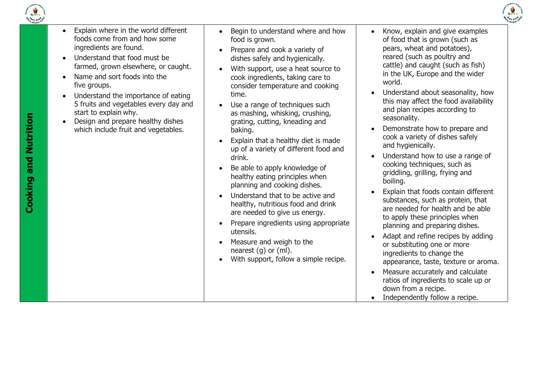



| $\bullet$ | Explain where in the world different |
|-----------|--------------------------------------|
|           | foods come from and how some         |
|           | ingredients are found.               |

- Understand that food must be farmed, grown elsewhere, or caught.
- Name and sort foods into the five groups.
- Understand the importance of eating 5 fruits and vegetables every day and start to explain why.
- Design and prepare healthy dishes which include fruit and vegetables.
- Begin to understand where and how food is grown.
- Prepare and cook a variety of dishes safely and hygienically.
- With support, use a heat source to cook ingredients, taking care to consider temperature and cooking time.
- Use a range of techniques such as mashing, whisking, crushing, grating, cutting, kneading and baking.
- Explain that a healthy diet is made up of a variety of different food and drink.
- Be able to apply knowledge of healthy eating principles when planning and cooking dishes.
- Understand that to be active and healthy, nutritious food and drink are needed to give us energy.
- Prepare ingredients using appropriate utensils.
- Measure and weigh to the nearest (g) or (ml).
- With support, follow a simple recipe.
- Know, explain and give examples of food that is grown (such as pears, wheat and potatoes), reared (such as poultry and cattle) and caught (such as fish) in the UK, Europe and the wider world.
- Understand about seasonality, how this may affect the food availability and plan recipes according to seasonality.
- Demonstrate how to prepare and cook a variety of dishes safely and hygienically.
- Understand how to use a range of cooking techniques, such as griddling, grilling, frying and boiling.
- Explain that foods contain different substances, such as protein, that are needed for health and be able to apply these principles when planning and preparing dishes.
- Adapt and refine recipes by adding or substituting one or more ingredients to change the appearance, taste, texture or aroma.
- Measure accurately and calculate ratios of ingredients to scale up or down from a recipe.
- Independently follow a recipe.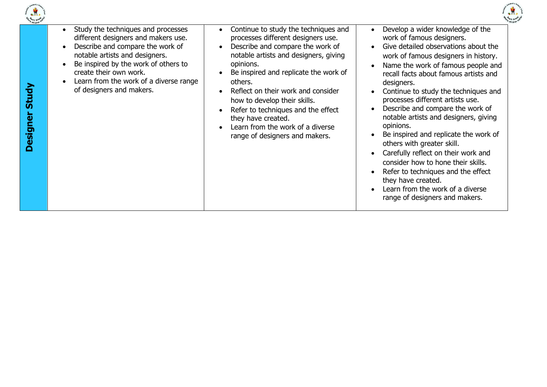

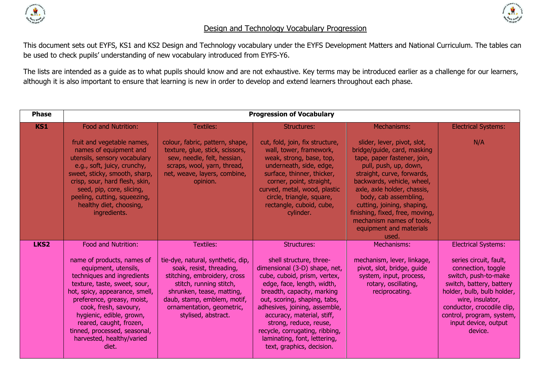



## Design and Technology Vocabulary Progression

This document sets out EYFS, KS1 and KS2 Design and Technology vocabulary under the EYFS Development Matters and National Curriculum. The tables can be used to check pupils' understanding of new vocabulary introduced from EYFS-Y6.

The lists are intended as a guide as to what pupils should know and are not exhaustive. Key terms may be introduced earlier as a challenge for our learners, although it is also important to ensure that learning is new in order to develop and extend learners throughout each phase.

| <b>Phase</b>     | <b>Progression of Vocabulary</b>                                                                                                                                                                                                                                                                                                       |                                                                                                                                                                                                                                          |                                                                                                                                                                                                                                                                                                                                                                              |                                                                                                                                                                                                                                                                                                                                                                          |                                                                                                                                                                                                                                                  |  |
|------------------|----------------------------------------------------------------------------------------------------------------------------------------------------------------------------------------------------------------------------------------------------------------------------------------------------------------------------------------|------------------------------------------------------------------------------------------------------------------------------------------------------------------------------------------------------------------------------------------|------------------------------------------------------------------------------------------------------------------------------------------------------------------------------------------------------------------------------------------------------------------------------------------------------------------------------------------------------------------------------|--------------------------------------------------------------------------------------------------------------------------------------------------------------------------------------------------------------------------------------------------------------------------------------------------------------------------------------------------------------------------|--------------------------------------------------------------------------------------------------------------------------------------------------------------------------------------------------------------------------------------------------|--|
| <b>KS1</b>       | Food and Nutrition:                                                                                                                                                                                                                                                                                                                    | <b>Textiles:</b>                                                                                                                                                                                                                         | <b>Structures:</b>                                                                                                                                                                                                                                                                                                                                                           | Mechanisms:                                                                                                                                                                                                                                                                                                                                                              | <b>Electrical Systems:</b>                                                                                                                                                                                                                       |  |
|                  | fruit and vegetable names,<br>names of equipment and<br>utensils, sensory vocabulary<br>e.g., soft, juicy, crunchy,<br>sweet, sticky, smooth, sharp,<br>crisp, sour, hard flesh, skin,<br>seed, pip, core, slicing,<br>peeling, cutting, squeezing,<br>healthy diet, choosing,<br>ingredients.                                         | colour, fabric, pattern, shape,<br>texture, glue, stick, scissors,<br>sew, needle, felt, hessian,<br>scraps, wool, yarn, thread,<br>net, weave, layers, combine,<br>opinion.                                                             | cut, fold, join, fix structure,<br>wall, tower, framework,<br>weak, strong, base, top,<br>underneath, side, edge,<br>surface, thinner, thicker,<br>corner, point, straight,<br>curved, metal, wood, plastic<br>circle, triangle, square,<br>rectangle, cuboid, cube,<br>cylinder.                                                                                            | slider, lever, pivot, slot,<br>bridge/guide, card, masking<br>tape, paper fastener, join,<br>pull, push, up, down,<br>straight, curve, forwards,<br>backwards, vehicle, wheel,<br>axle, axle holder, chassis,<br>body, cab assembling,<br>cutting, joining, shaping,<br>finishing, fixed, free, moving,<br>mechanism names of tools,<br>equipment and materials<br>used. | N/A                                                                                                                                                                                                                                              |  |
| LKS <sub>2</sub> | Food and Nutrition:                                                                                                                                                                                                                                                                                                                    | <b>Textiles:</b>                                                                                                                                                                                                                         | <b>Structures:</b>                                                                                                                                                                                                                                                                                                                                                           | Mechanisms:                                                                                                                                                                                                                                                                                                                                                              | <b>Electrical Systems:</b>                                                                                                                                                                                                                       |  |
|                  | name of products, names of<br>equipment, utensils,<br>techniques and ingredients<br>texture, taste, sweet, sour,<br>hot, spicy, appearance, smell,<br>preference, greasy, moist,<br>cook, fresh, savoury,<br>hygienic, edible, grown,<br>reared, caught, frozen,<br>tinned, processed, seasonal,<br>harvested, healthy/varied<br>diet. | tie-dye, natural, synthetic, dip,<br>soak, resist, threading,<br>stitching, embroidery, cross<br>stitch, running stitch,<br>shrunken, tease, matting,<br>daub, stamp, emblem, motif,<br>ornamentation, geometric,<br>stylised, abstract. | shell structure, three-<br>dimensional (3-D) shape, net,<br>cube, cuboid, prism, vertex,<br>edge, face, length, width,<br>breadth, capacity, marking<br>out, scoring, shaping, tabs,<br>adhesives, joining, assemble,<br>accuracy, material, stiff,<br>strong, reduce, reuse,<br>recycle, corrugating, ribbing,<br>laminating, font, lettering,<br>text, graphics, decision. | mechanism, lever, linkage,<br>pivot, slot, bridge, guide<br>system, input, process,<br>rotary, oscillating,<br>reciprocating.                                                                                                                                                                                                                                            | series circuit, fault,<br>connection, toggle<br>switch, push-to-make<br>switch, battery, battery<br>holder, bulb, bulb holder,<br>wire, insulator,<br>conductor, crocodile clip,<br>control, program, system,<br>input device, output<br>device. |  |